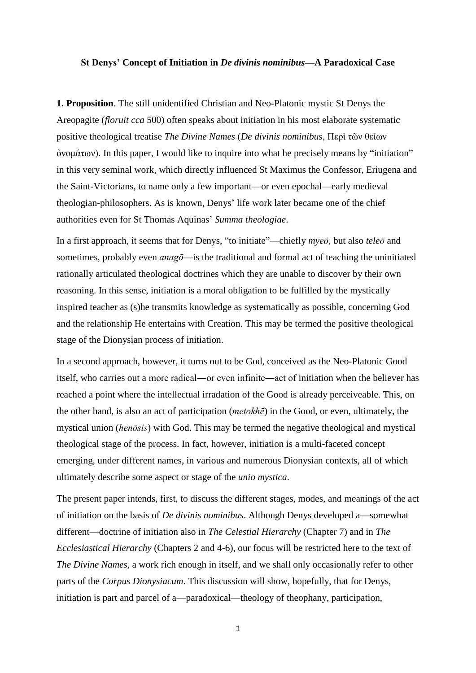## **St Denys' Concept of Initiation in** *De divinis nominibus***—A Paradoxical Case**

**1. Proposition**. The still unidentified Christian and Neo-Platonic mystic St Denys the Areopagite (*floruit cca* 500) often speaks about initiation in his most elaborate systematic positive theological treatise *The Divine Names* (*De divinis nominibus*, Περὶ τῶν θείων ὀνομάτων). In this paper, I would like to inquire into what he precisely means by "initiation" in this very seminal work, which directly influenced St Maximus the Confessor, Eriugena and the Saint-Victorians, to name only a few important—or even epochal—early medieval theologian-philosophers. As is known, Denys' life work later became one of the chief authorities even for St Thomas Aquinas' *Summa theologiae*.

In a first approach, it seems that for Denys, "to initiate"—chiefly *myeō*, but also *teleō* and sometimes, probably even *anagō*—is the traditional and formal act of teaching the uninitiated rationally articulated theological doctrines which they are unable to discover by their own reasoning. In this sense, initiation is a moral obligation to be fulfilled by the mystically inspired teacher as (s)he transmits knowledge as systematically as possible, concerning God and the relationship He entertains with Creation. This may be termed the positive theological stage of the Dionysian process of initiation.

In a second approach, however, it turns out to be God, conceived as the Neo-Platonic Good itself, who carries out a more radical―or even infinite―act of initiation when the believer has reached a point where the intellectual irradation of the Good is already perceiveable. This, on the other hand, is also an act of participation (*metokhē*) in the Good, or even, ultimately, the mystical union (*henōsis*) with God. This may be termed the negative theological and mystical theological stage of the process. In fact, however, initiation is a multi-faceted concept emerging, under different names, in various and numerous Dionysian contexts, all of which ultimately describe some aspect or stage of the *unio mystica*.

The present paper intends, first, to discuss the different stages, modes, and meanings of the act of initiation on the basis of *De divinis nominibus*. Although Denys developed a—somewhat different—doctrine of initiation also in *The Celestial Hierarchy* (Chapter 7) and in *The Ecclesiastical Hierarchy* (Chapters 2 and 4-6), our focus will be restricted here to the text of *The Divine Names*, a work rich enough in itself, and we shall only occasionally refer to other parts of the *Corpus Dionysiacum*. This discussion will show, hopefully, that for Denys, initiation is part and parcel of a—paradoxical—theology of theophany, participation,

1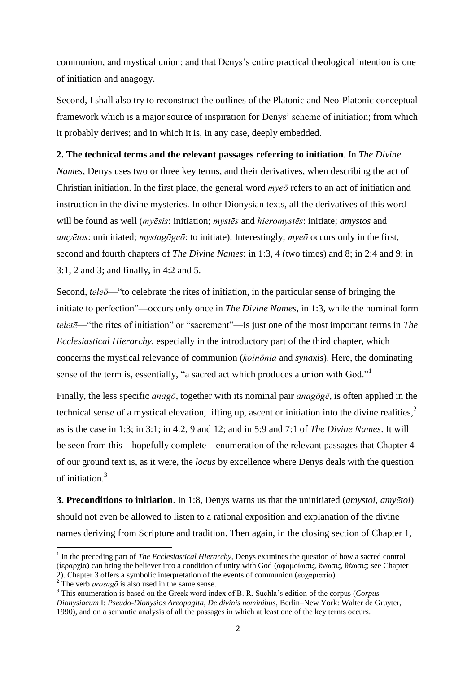communion, and mystical union; and that Denys's entire practical theological intention is one of initiation and anagogy.

Second, I shall also try to reconstruct the outlines of the Platonic and Neo-Platonic conceptual framework which is a major source of inspiration for Denys' scheme of initiation; from which it probably derives; and in which it is, in any case, deeply embedded.

## **2. The technical terms and the relevant passages referring to initiation**. In *The Divine*

*Names*, Denys uses two or three key terms, and their derivatives, when describing the act of Christian initiation. In the first place, the general word *myeō* refers to an act of initiation and instruction in the divine mysteries. In other Dionysian texts, all the derivatives of this word will be found as well (*myēsis*: initiation; *mystēs* and *hieromystēs*: initiate; *amystos* and *amyētos*: uninitiated; *mystagōgeō*: to initiate). Interestingly, *myeō* occurs only in the first, second and fourth chapters of *The Divine Names*: in 1:3, 4 (two times) and 8; in 2:4 and 9; in 3:1, 2 and 3; and finally, in 4:2 and 5.

Second, *teleō*—"to celebrate the rites of initiation, in the particular sense of bringing the initiate to perfection"—occurs only once in *The Divine Names*, in 1:3, while the nominal form *teletē*—"the rites of initiation" or "sacrement"—is just one of the most important terms in *The Ecclesiastical Hierarchy*, especially in the introductory part of the third chapter, which concerns the mystical relevance of communion (*koinōnia* and *synaxis*). Here, the dominating sense of the term is, essentially, "a sacred act which produces a union with God."<sup>1</sup>

Finally, the less specific *anagō*, together with its nominal pair *anagōgē*, is often applied in the technical sense of a mystical elevation, lifting up, ascent or initiation into the divine realities, 2 as is the case in 1:3; in 3:1; in 4:2, 9 and 12; and in 5:9 and 7:1 of *The Divine Names*. It will be seen from this—hopefully complete—enumeration of the relevant passages that Chapter 4 of our ground text is, as it were, the *locus* by excellence where Denys deals with the question of initiation.<sup>3</sup>

**3. Preconditions to initiation**. In 1:8, Denys warns us that the uninitiated (*amystoi, amyētoi*) should not even be allowed to listen to a rational exposition and explanation of the divine names deriving from Scripture and tradition. Then again, in the closing section of Chapter 1,

 1 In the preceding part of *The Ecclesiastical Hierarchy*, Denys examines the question of how a sacred control (ἱεραρχία) can bring the believer into a condition of unity with God (ἀφομοίωσις, ἕνωσις, θέωσις; see Chapter 2). Chapter 3 offers a symbolic interpretation of the events of communion (εὐχαριστία).

<sup>2).</sup> Chapter 3 bricks a symbolic must promise  $\frac{2}{3}$ . The verb *prosagō* is also used in the same sense.

<sup>3</sup> This enumeration is based on the Greek word index of B. R. Suchla's edition of the corpus (*Corpus Dionysiacum* I: *Pseudo-Dionysios Areopagita, De divinis nominibus*, Berlin–New York: Walter de Gruyter, 1990), and on a semantic analysis of all the passages in which at least one of the key terms occurs.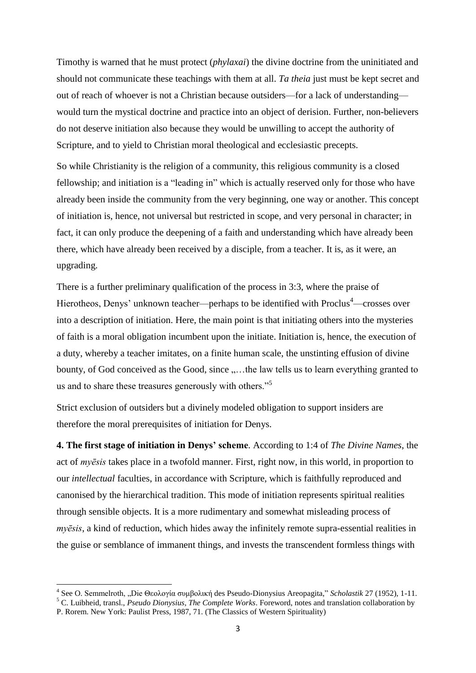Timothy is warned that he must protect (*phylaxai*) the divine doctrine from the uninitiated and should not communicate these teachings with them at all. *Ta theia* just must be kept secret and out of reach of whoever is not a Christian because outsiders—for a lack of understanding would turn the mystical doctrine and practice into an object of derision. Further, non-believers do not deserve initiation also because they would be unwilling to accept the authority of Scripture, and to yield to Christian moral theological and ecclesiastic precepts.

So while Christianity is the religion of a community, this religious community is a closed fellowship; and initiation is a "leading in" which is actually reserved only for those who have already been inside the community from the very beginning, one way or another. This concept of initiation is, hence, not universal but restricted in scope, and very personal in character; in fact, it can only produce the deepening of a faith and understanding which have already been there, which have already been received by a disciple, from a teacher. It is, as it were, an upgrading.

There is a further preliminary qualification of the process in 3:3, where the praise of Hierotheos, Denys' unknown teacher—perhaps to be identified with Proclus<sup>4</sup>—crosses over into a description of initiation. Here, the main point is that initiating others into the mysteries of faith is a moral obligation incumbent upon the initiate. Initiation is, hence, the execution of a duty, whereby a teacher imitates, on a finite human scale, the unstinting effusion of divine bounty, of God conceived as the Good, since  $, \ldots$  the law tells us to learn everything granted to us and to share these treasures generously with others."<sup>5</sup>

Strict exclusion of outsiders but a divinely modeled obligation to support insiders are therefore the moral prerequisites of initiation for Denys.

**4. The first stage of initiation in Denys' scheme**. According to 1:4 of *The Divine Names*, the act of *myēsis* takes place in a twofold manner. First, right now, in this world, in proportion to our *intellectual* faculties, in accordance with Scripture, which is faithfully reproduced and canonised by the hierarchical tradition. This mode of initiation represents spiritual realities through sensible objects. It is a more rudimentary and somewhat misleading process of *myēsis*, a kind of reduction, which hides away the infinitely remote supra-essential realities in the guise or semblance of immanent things, and invests the transcendent formless things with

1

<sup>&</sup>lt;sup>4</sup> See O. Semmelroth, "Die Θεολογία συμβολική des Pseudo-Dionysius Areopagita," *Scholastik* 27 (1952), 1-11. <sup>5</sup> C. Luibheid, transl., *Pseudo Dionysius, The Complete Works*. Foreword, notes and translation collaboration by

P. Rorem. New York: Paulist Press, 1987, 71. (The Classics of Western Spirituality)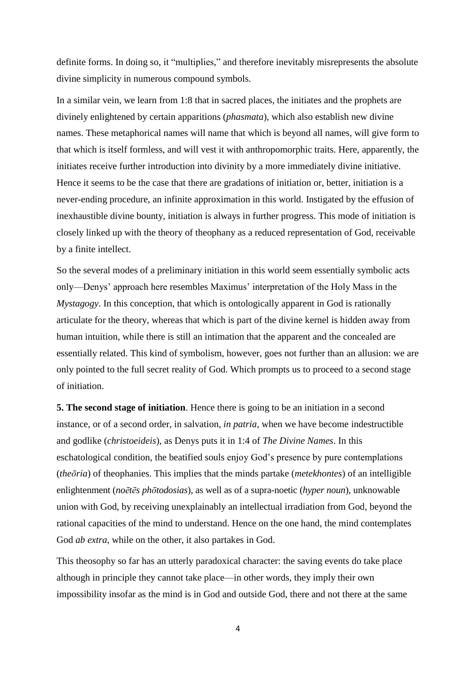definite forms. In doing so, it "multiplies," and therefore inevitably misrepresents the absolute divine simplicity in numerous compound symbols.

In a similar vein, we learn from 1:8 that in sacred places, the initiates and the prophets are divinely enlightened by certain apparitions (*phasmata*), which also establish new divine names. These metaphorical names will name that which is beyond all names, will give form to that which is itself formless, and will vest it with anthropomorphic traits. Here, apparently, the initiates receive further introduction into divinity by a more immediately divine initiative. Hence it seems to be the case that there are gradations of initiation or, better, initiation is a never-ending procedure, an infinite approximation in this world. Instigated by the effusion of inexhaustible divine bounty, initiation is always in further progress. This mode of initiation is closely linked up with the theory of theophany as a reduced representation of God, receivable by a finite intellect.

So the several modes of a preliminary initiation in this world seem essentially symbolic acts only—Denys' approach here resembles Maximus' interpretation of the Holy Mass in the *Mystagogy*. In this conception, that which is ontologically apparent in God is rationally articulate for the theory, whereas that which is part of the divine kernel is hidden away from human intuition, while there is still an intimation that the apparent and the concealed are essentially related. This kind of symbolism, however, goes not further than an allusion: we are only pointed to the full secret reality of God. Which prompts us to proceed to a second stage of initiation.

**5. The second stage of initiation**. Hence there is going to be an initiation in a second instance, or of a second order, in salvation, *in patria*, when we have become indestructible and godlike (*christoeideis*), as Denys puts it in 1:4 of *The Divine Names*. In this eschatological condition, the beatified souls enjoy God's presence by pure contemplations (*theōria*) of theophanies. This implies that the minds partake (*metekhontes*) of an intelligible enlightenment (*noētēs phōtodosias*), as well as of a supra-noetic (*hyper noun*), unknowable union with God, by receiving unexplainably an intellectual irradiation from God, beyond the rational capacities of the mind to understand. Hence on the one hand, the mind contemplates God *ab extra*, while on the other, it also partakes in God.

This theosophy so far has an utterly paradoxical character: the saving events do take place although in principle they cannot take place—in other words, they imply their own impossibility insofar as the mind is in God and outside God, there and not there at the same

4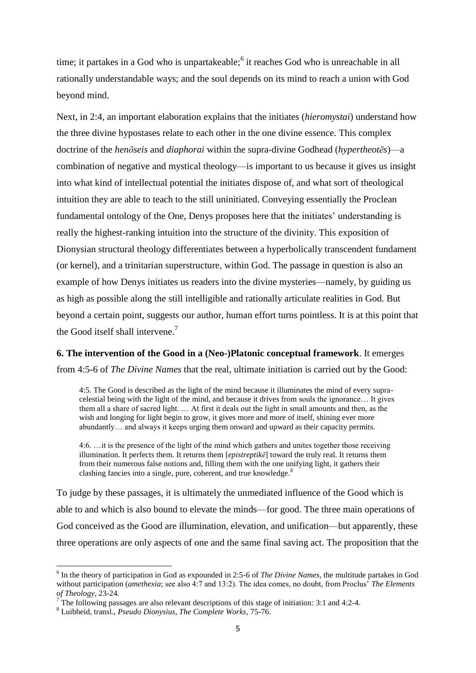time; it partakes in a God who is unpartakeable;<sup>6</sup> it reaches God who is unreachable in all rationally understandable ways; and the soul depends on its mind to reach a union with God beyond mind.

Next, in 2:4, an important elaboration explains that the initiates (*hieromystai*) understand how the three divine hypostases relate to each other in the one divine essence. This complex doctrine of the *henōseis* and *diaphorai* within the supra-divine Godhead (*hypertheotēs*)—a combination of negative and mystical theology—is important to us because it gives us insight into what kind of intellectual potential the initiates dispose of, and what sort of theological intuition they are able to teach to the still uninitiated. Conveying essentially the Proclean fundamental ontology of the One, Denys proposes here that the initiates' understanding is really the highest-ranking intuition into the structure of the divinity. This exposition of Dionysian structural theology differentiates between a hyperbolically transcendent fundament (or kernel), and a trinitarian superstructure, within God. The passage in question is also an example of how Denys initiates us readers into the divine mysteries—namely, by guiding us as high as possible along the still intelligible and rationally articulate realities in God. But beyond a certain point, suggests our author, human effort turns pointless. It is at this point that the Good itself shall intervene.<sup>7</sup>

## **6. The intervention of the Good in a (Neo-)Platonic conceptual framework**. It emerges

from 4:5-6 of *The Divine Names* that the real, ultimate initiation is carried out by the Good:

4:5. The Good is described as the light of the mind because it illuminates the mind of every supracelestial being with the light of the mind, and because it drives from souls the ignorance… It gives them all a share of sacred light. … At first it deals out the light in small amounts and then, as the wish and longing for light begin to grow, it gives more and more of itself, shining ever more abundantly… and always it keeps urging them onward and upward as their capacity permits.

4:6. …it is the presence of the light of the mind which gathers and unites together those receiving illumination. It perfects them. It returns them  $[epistreptik\bar{e}]$  toward the truly real. It returns them from their numerous false notions and, filling them with the one unifying light, it gathers their clashing fancies into a single, pure, coherent, and true knowledge.<sup>8</sup>

To judge by these passages, it is ultimately the unmediated influence of the Good which is able to and which is also bound to elevate the minds—for good. The three main operations of God conceived as the Good are illumination, elevation, and unification—but apparently, these three operations are only aspects of one and the same final saving act. The proposition that the

**.** 

<sup>&</sup>lt;sup>6</sup> In the theory of participation in God as expounded in 2:5-6 of *The Divine Names*, the multitude partakes in God without participation (*amethexia*; see also 4:7 and 13:2). The idea comes, no doubt, from Proclus<sup>7</sup> *The Elements of Theology*, 23-24.

<sup>7</sup> The following passages are also relevant descriptions of this stage of initiation: 3:1 and 4:2-4.

<sup>8</sup> Luibheid, transl., *Pseudo Dionysius, The Complete Works*, 75-76.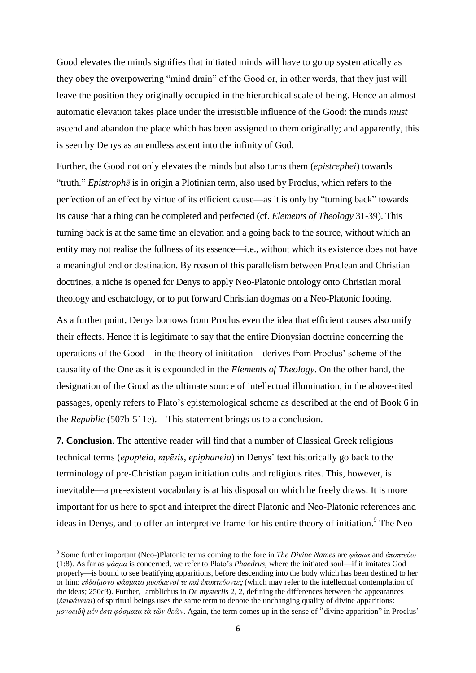Good elevates the minds signifies that initiated minds will have to go up systematically as they obey the overpowering "mind drain" of the Good or, in other words, that they just will leave the position they originally occupied in the hierarchical scale of being. Hence an almost automatic elevation takes place under the irresistible influence of the Good: the minds *must* ascend and abandon the place which has been assigned to them originally; and apparently, this is seen by Denys as an endless ascent into the infinity of God.

Further, the Good not only elevates the minds but also turns them (*epistrephei*) towards "truth." *Epistrophē* is in origin a Plotinian term, also used by Proclus, which refers to the perfection of an effect by virtue of its efficient cause—as it is only by "turning back" towards its cause that a thing can be completed and perfected (cf. *Elements of Theology* 31-39). This turning back is at the same time an elevation and a going back to the source, without which an entity may not realise the fullness of its essence—i.e., without which its existence does not have a meaningful end or destination. By reason of this parallelism between Proclean and Christian doctrines, a niche is opened for Denys to apply Neo-Platonic ontology onto Christian moral theology and eschatology, or to put forward Christian dogmas on a Neo-Platonic footing.

As a further point, Denys borrows from Proclus even the idea that efficient causes also unify their effects. Hence it is legitimate to say that the entire Dionysian doctrine concerning the operations of the Good—in the theory of inititation—derives from Proclus' scheme of the causality of the One as it is expounded in the *Elements of Theology*. On the other hand, the designation of the Good as the ultimate source of intellectual illumination, in the above-cited passages, openly refers to Plato's epistemological scheme as described at the end of Book 6 in the *Republic* (507b-511e).—This statement brings us to a conclusion.

**7. Conclusion**. The attentive reader will find that a number of Classical Greek religious technical terms (*epopteia*, *myēsis, epiphaneia*) in Denys' text historically go back to the terminology of pre-Christian pagan initiation cults and religious rites. This, however, is inevitable—a pre-existent vocabulary is at his disposal on which he freely draws. It is more important for us here to spot and interpret the direct Platonic and Neo-Platonic references and ideas in Denys, and to offer an interpretive frame for his entire theory of initiation.<sup>9</sup> The Neo-

**.** 

<sup>9</sup> Some further important (Neo-)Platonic terms coming to the fore in *The Divine Names* are *φάσμα* and *ἐποπτεύω* (1:8). As far as *φάσμα* is concerned, we refer to Plato's *Phaedrus*, where the initiated soul—if it imitates God properly—is bound to see beatifying apparitions, before descending into the body which has been destined to her or him: *εὐδαίμονα φάσματα μυούμενοί τε καὶ ἐποπτεύοντες* (which may refer to the intellectual contemplation of the ideas; 250c3). Further, Iamblichus in *De mysteriis* 2, 2, defining the differences between the appearances (*ἐπιφάνειαι*) of spiritual beings uses the same term to denote the unchanging quality of divine apparitions: *μονοειδῆ μέν ἐστι φάσματα τὰ τῶν θεῶν*. Again, the term comes up in the sense of "divine apparition" in Proclus'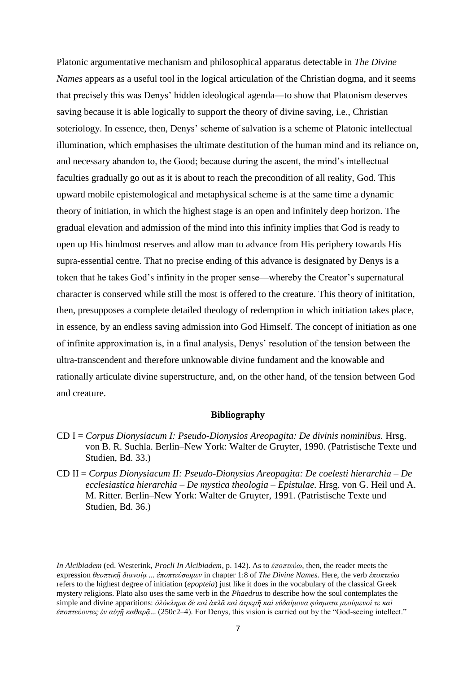Platonic argumentative mechanism and philosophical apparatus detectable in *The Divine Names* appears as a useful tool in the logical articulation of the Christian dogma, and it seems that precisely this was Denys' hidden ideological agenda—to show that Platonism deserves saving because it is able logically to support the theory of divine saving, i.e., Christian soteriology. In essence, then, Denys' scheme of salvation is a scheme of Platonic intellectual illumination, which emphasises the ultimate destitution of the human mind and its reliance on, and necessary abandon to, the Good; because during the ascent, the mind's intellectual faculties gradually go out as it is about to reach the precondition of all reality, God. This upward mobile epistemological and metaphysical scheme is at the same time a dynamic theory of initiation, in which the highest stage is an open and infinitely deep horizon. The gradual elevation and admission of the mind into this infinity implies that God is ready to open up His hindmost reserves and allow man to advance from His periphery towards His supra-essential centre. That no precise ending of this advance is designated by Denys is a token that he takes God's infinity in the proper sense—whereby the Creator's supernatural character is conserved while still the most is offered to the creature. This theory of inititation, then, presupposes a complete detailed theology of redemption in which initiation takes place, in essence, by an endless saving admission into God Himself. The concept of initiation as one of infinite approximation is, in a final analysis, Denys' resolution of the tension between the ultra-transcendent and therefore unknowable divine fundament and the knowable and rationally articulate divine superstructure, and, on the other hand, of the tension between God and creature.

## **Bibliography**

- CD I = *Corpus Dionysiacum I: Pseudo-Dionysios Areopagita: De divinis nominibus.* Hrsg. von B. R. Suchla. Berlin–New York: Walter de Gruyter, 1990. (Patristische Texte und Studien, Bd. 33.)
- CD II = *Corpus Dionysiacum II: Pseudo-Dionysius Areopagita: De coelesti hierarchia – De ecclesiastica hierarchia – De mystica theologia – Epistulae.* Hrsg. von G. Heil und A. M. Ritter. Berlin–New York: Walter de Gruyter, 1991. (Patristische Texte und Studien, Bd. 36.)

 $\overline{a}$ 

*In Alcibiadem* (ed. Westerink, *Procli In Alcibiadem*, p. 142). As to *ἐποπτεύω*, then, the reader meets the expression *θεοπτικῇ διανοίᾳ ... ἐποπτεύσωμεν* in chapter 1:8 of *The Divine Names.* Here, the verb *ἐποπτεύω* refers to the highest degree of initiation (*epopteia*) just like it does in the vocabulary of the classical Greek mystery religions. Plato also uses the same verb in the *Phaedrus* to describe how the soul contemplates the simple and divine apparitions: *ὁλόκληρα δὲ καὶ ἁπλᾶ καὶ ἀτρεμῆ καὶ εὐδαίμονα φάσματα μυούμενοί τε καὶ ἐποπτεύοντες ἐν αὐγῇ καθαρᾷ*... (250c2–4). For Denys, this vision is carried out by the "God-seeing intellect."